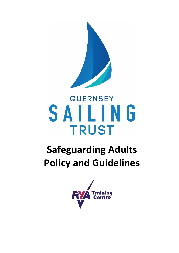

# **GUERNSEY** SAILING **TRUST**

# **Safeguarding Adults Policy and Guidelines**

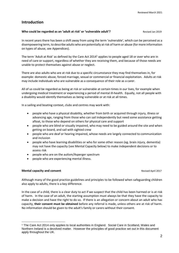# **Introduction**

## **Who could be regarded as an 'adult at risk' or 'vulnerable adult'?** Revised Jan 2019

In recent years there has been a shift away from using the term 'vulnerable', which can be perceived as a disempowering term, to describe adults who are potentially at risk of harm or abuse (for more information on types of abuse, see Appendices).

The term 'Adult at Risk' as defined by the Care Act 2014<sup>1</sup> applies to people aged 18 or over who are in need of care or support, regardless of whether they are receiving them, and because of those needs are unable to protect themselves against abuse or neglect.

There are also adults who are at risk due to a specific circumstance they may find themselves in, for example: domestic abuse, forced marriage, sexual or commercial or financial exploitation. Adults at risk may include individuals who are vulnerable as a consequence of their role as a carer.

All of us could be regarded as being at risk or vulnerable at certain times in our lives, for example when undergoing medical treatment or experiencing a period of mental ill-health. Equally, not all people with a disability would identify themselves as being vulnerable or at risk at all times.

In a sailing and boating context, clubs and centres may work with:

- people who have a physical disability, whether from birth or acquired through injury, illness or advancing age, ranging from those who can sail independently but need some assistance getting afloat, to those who depend on others for physical care and support
- people who are blind or visually impaired, who may need to be guided around the site and when getting on board, and sail with sighted crew
- people who are deaf or hearing impaired, whose needs are largely connected to communication and inclusion
- people who have learning disabilities or who for some other reason (eg. brain injury, dementia) may not have the capacity (see Mental Capacity below) to make independent decisions or to assess risk
- people who are on the autism/Asperger spectrum
- people who are experiencing mental illness.

### **Mental capacity and consent Revised April 2017 Revised April 2017**

1

Although many of the good practice guidelines and principles to be followed when safeguarding children also apply to adults, there is a key difference.

In the case of a child, there is a clear duty to act if we suspect that the child has been harmed or is at risk of harm. In the case of an adult, the starting assumption must always be that they have the capacity to make a decision and have the right to do so. If there is an allegation or concern about an adult who has capacity, **their consent must be obtained** before any referral is made, unless others are at risk of harm. No information should be given to the adult's family or carers without their consent.

<sup>1</sup> The Care Act 2014 only applies to local authorities in England. Social Care in Scotland, Wales and Northern Ireland is a devolved matter. However the principles of good practice set out in this document apply throughout the UK.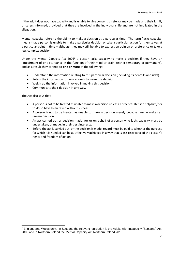If the adult does not have capacity and is unable to give consent, a referral may be made and their family or carers informed, provided that they are involved in the individual's life and are not implicated in the allegation.

Mental capacity refers to the ability to make a decision at a particular time. The term 'lacks capacity' means that a person is unable to make a particular decision or take a particular action for themselves at a particular point in time – although they may still be able to express an opinion or preference or take a less complex decision.

Under the Mental Capacity Act 2005<sup>2</sup> a person lacks capacity to make a decision if they have an 'impairment of or disturbance in the function of their mind or brain' (either temporary or permanent), and as a result they cannot do **one or more** of the following:

- Understand the information relating to this particular decision (including its benefits and risks)
- Retain the information for long enough to make this decision
- Weigh up the information involved in making this decision
- Communicate their decision in any way.

The Act also says that:

1

- A person is not to be treated as unable to make a decision unless all practical steps to help him/her to do so have been taken without success.
- A person is not to be treated as unable to make a decision merely because he/she makes an unwise decision.
- An act carried out or decision made, for or on behalf of a person who lacks capacity must be undertaken, or made, in their best interests.
- Before the act is carried out, or the decision is made, regard must be paid to whether the purpose for which it is needed can be as effectively achieved in a way that is less restrictive of the person's rights and freedom of action.

<sup>2</sup> England and Wales only. In Scotland the relevant legislation is the Adults with Incapacity (Scotland) Act 2000 and in Northern Ireland the Mental Capacity Act Northern Ireland 2016.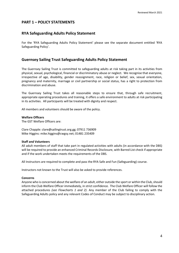# **PART 1 – POLICY STATEMENTS**

# **RYA Safeguarding Adults Policy Statement**

For the 'RYA Safeguarding Adults Policy Statement' please see the separate document entitled 'RYA Safeguarding Policy'.

# **Guernsey Sailing Trust Safeguarding Adults Policy Statement**

The Guernsey Sailing Trust is committed to safeguarding adults at risk taking part in its activities from physical, sexual, psychological, financial or discriminatory abuse or neglect. We recognise that everyone, irrespective of age, disability, gender reassignment, race, religion or belief, sex, sexual orientation, pregnancy and maternity, marriage or civil partnership or social status, has a right to protection from discrimination and abuse.

The Guernsey Sailing Trust takes all reasonable steps to ensure that, through safe recruitment, appropriate operating procedures and training, it offers a safe environment to adults at risk participating in its activities. All participants will be treated with dignity and respect.

All members and volunteers should be aware of the policy.

# **Welfare Officers**

The GST Welfare Officers are:

Clare Chapple: clare@sailingtrust.org.gg; 07911 736909 Mike Higgins: mike.higgins@cwgsy.net; 01481 235409

### **Staff and Volunteers**

All adult members of staff that take part in regulated activities with adults (in accordance with the DBS) will be required to provide an enhanced Criminal Records Disclosure, with Barred List check if appropriate and if the work undertaken meets the requirements of the DBS.

All Instructors are required to complete and pass the RYA Safe and Fun (Safeguarding) course.

Instructors not known to the Trust will also be asked to provide references.

### **Concerns**

Anyone who is concerned about the welfare of an adult, either outside the sport or within the Club, should inform the Club Welfare Officer immediately, in strict confidence. The Club Welfare Officer will follow the attached procedures *(see Flowcharts 1 and 2)*. Any member of the Club failing to comply with the Safeguarding Adults policy and any relevant Codes of Conduct may be subject to disciplinary action.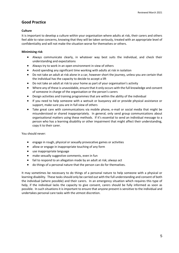# **Good Practice**

# **Culture**

It is important to develop a culture within your organisation where adults at risk, their carers and others feel able to raise concerns, knowing that they will be taken seriously, treated with an appropriate level of confidentiality and will not make the situation worse for themselves or others.

# **Minimising risk**

- Always communicate clearly, in whatever way best suits the individual, and check their understanding and expectations
- Always try to work in an open environment in view of others
- Avoid spending any significant time working with adults at risk in isolation
- Do not take an adult at risk alone in a car, however short the journey, unless you are certain that the individual has the capacity to decide to accept a lift
- Do not take an adult at risk to your home as part of your organisation's activity
- Where any of these is unavoidable, ensure that it only occurs with the full knowledge and consent of someone in charge of the organisation or the person's carers
- Design activities and training programmes that are within the ability of the individual
- If you need to help someone with a wetsuit or buoyancy aid or provide physical assistance or support, make sure you are in full view of others
- Take great care with communications via mobile phone, e-mail or social media that might be misunderstood or shared inappropriately. In general, only send group communications about organisational matters using these methods. If it's essential to send an individual message to a person who has a learning disability or other impairment that might affect their understanding, copy it to their carer.

You should never:

- engage in rough, physical or sexually provocative games or activities
- allow or engage in inappropriate touching of any form
- use inappropriate language
- make sexually suggestive comments, even in fun
- fail to respond to an allegation made by an adult at risk; always act
- do things of a personal nature that the person can do for themselves.

It may sometimes be necessary to do things of a personal nature to help someone with a physical or learning disability. These tasks should only be carried out with the full understanding and consent of both the individual (where possible) and their carers. In an emergency situation which requires this type of help, if the individual lacks the capacity to give consent, carers should be fully informed as soon as possible. In such situations it is important to ensure that anyone present is sensitive to the individual and undertakes personal care tasks with the utmost discretion.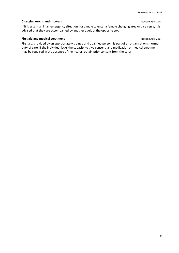### Reviewed March 2021

### **Changing rooms and showers Changing rooms and showers Revised April 2018**

If it is essential, in an emergency situation, for a male to enter a female changing area or vice versa, it is advised that they are accompanied by another adult of the opposite sex.

### **First aid and medical treatment Revised April 2017**

First aid, provided by an appropriately trained and qualified person, is part of an organisation's normal duty of care. If the individual lacks the capacity to give consent, and medication or medical treatment may be required in the absence of their carer, obtain prior consent from the carer.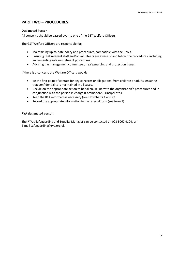# **PART TWO – PROCEDURES**

# **Designated Person**

All concerns should be passed over to one of the GST Welfare Officers.

The GST Welfare Officers are responsible for:

- Maintaining up-to-date policy and procedures, compatible with the RYA's.
- Ensuring that relevant staff and/or volunteers are aware of and follow the procedures, including implementing safe recruitment procedures.
- Advising the management committee on safeguarding and protection issues.

If there is a concern, the Welfare Officers would:

- Be the first point of contact for any concerns or allegations, from children or adults, ensuring that confidentiality is maintained in all cases.
- Decide on the appropriate action to be taken, in line with the organisation's procedures and in conjunction with the person in charge (Commodore, Principal etc.).
- Keep the RYA informed as necessary (see Flowcharts 1 and 2*)*.
- Record the appropriate information in the referral form (see form 1)

# **RYA designated person**

The RYA's Safeguarding and Equality Manager can be contacted on 023 8060 4104, or E-mail safeguarding@rya.org.uk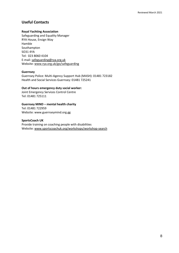# **Useful Contacts**

# **Royal Yachting Association**

Safeguarding and Equality Manager RYA House, Ensign Way Hamble Southampton SO31 4YA Tel: 023 8060 4104 E-mail: [safeguarding@rya.org.uk](mailto:safeguarding@rya.org.uk) Website[: www.rya.org.uk/go/safeguarding](http://www.rya.org.uk/go/childprotection)

### **Guernsey**

Guernsey Police: Multi-Agency Support Hub (MASH): 01481 723182 Health and Social Services Guernsey: 01481 725241

# **Out of hours emergency duty social worker:**

Joint Emergency Services Control Centre Tel: 01481 725111

# **Guernsey MIND – mental health charity**

Tel: 01481 722959 Website: www.guernseymind.org.gg

# **SportsCoach UK**

Provide training on coaching people with disabilities Website[: www.sportscoachuk.org/workshops/workshop-search](http://www.sportscoachuk.org/workshops/workshop-search)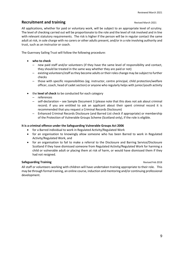# **Recruitment and training**<br> **Recruitment and training**

All applications, whether for paid or voluntary work, will be subject to an appropriate level of scrutiny. The level of checking carried out will be proportionate to the role and the level of risk involved and in line with relevant statutory requirements. The risk is higher if the person will be in regular contact the same adult at risk, in sole charge with no carers or other adults present, and/or in a role involving authority and trust, such as an instructor or coach.

The Guernsey Sailing Trust will follow the following procedure:

- **who to check** 
	- new paid staff and/or volunteers (if they have the same level of responsibility and contact, they should be treated in the same way whether they are paid or not)
	- existing volunteers/staff as they become adults or their roles change may be subject to further checks
	- those with specific responsibilities (eg. instructor, centre principal, child protection/welfare officer, coach, head of cadet section) or anyone who regularly helps with junior/youth activity
- the **level of check** to be conducted for each category
	- references
	- self-declaration see Sample Document 3 (please note that this does not ask about criminal record; if you are entitled to ask an applicant about their spent criminal record it is recommended that you request a Criminal Records Disclosure)
	- Enhanced Criminal Records Disclosure (and Barred List check if appropriate) or membership of the Protection of Vulnerable Groups Scheme (Scotland only), if the role is eligible.

# **It is a criminal offence under the Safeguarding Vulnerable Groups Act 2006**

- for a Barred individual to work in Regulated Activity/Regulated Work
- for an organisation to knowingly allow someone who has been Barred to work in Regulated Activity/Regulated Work, and
- for an organisation to fail to make a referral to the Disclosure and Barring Service/Disclosure Scotland if they have dismissed someone from Regulated Activity/Regulated Work for harming a child or vulnerable adult or placing them at risk of harm, or would have dismissed them if they had not resigned.

# **Safeguarding Training Safeguarding Training and Safeguarding Training and Safeguarding Training and Safeguarding Safeguarding Safeguarding Safeguarding Safeguarding Safeguarding Safeguarding Safeguarding Safeguarding Sa**

All staff or volunteers working with children will have undertaken training appropriate to their role. This may be through formal training, an online course, induction and mentoring and/or continuing professional development.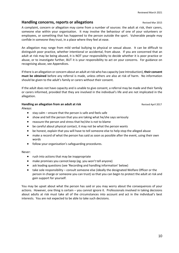10

# **Handling concerns, reports or allegations**

A complaint, concern or allegation may come from a number of sources: the adult at risk, their carers, someone else within your organisation. It may involve the behaviour of one of your volunteers or employees, or something that has happened to the person outside the sport. Vulnerable people may confide in someone they trust, in a place where they feel at ease.

An allegation may range from mild verbal bullying to physical or sexual abuse. It can be difficult to distinguish poor practice, whether intentional or accidental, from abuse. If you are concerned that an adult at risk may be being abused, it is NOT your responsibility to decide whether it is poor practice or abuse, or to investigate further, BUT it is your responsibility to act on your concerns. For guidance on recognising abuse, see Appendices.

If there is an allegation or concern about an adult at risk who has capacity (see Introduction), **their consent must be obtained** before any referral is made, unless others are also at risk of harm. No information should be given to the adult's family or carers without their consent.

If the adult does not have capacity and is unable to give consent, a referral may be made and their family or carers informed, provided that they are involved in the individual's life and are not implicated in the allegation.

# **Handling an allegation from an adult at risk** Revised April 2017

Always:

- $\bullet$  stay calm ensure that the person is safe and feels safe
- show and tell the person that you are taking what he/she says seriously
- reassure the person and stress that he/she is not to blame
- be careful about physical contact, it may not be what the person wants
- be honest, explain that you will have to tell someone else to help stop the alleged abuse
- make a record of what the person has said as soon as possible after the event, using their own words
- follow your organisation's safeguarding procedures.

Never:

- rush into actions that may be inappropriate
- make promises you cannot keep (eg. you won't tell anyone)
- ask leading questions (see 'Recording and handling information' below)
- take sole responsibility consult someone else (ideally the designated Welfare Officer or the person in charge or someone you can trust) so that you can begin to protect the adult at risk and gain support for yourself.

You may be upset about what the person has said or you may worry about the consequences of your actions. However, one thing is certain – you cannot ignore it. Professionals involved in taking decisions about adults at risk must take all of the circumstances into account and act in the individual's best interests. You are not expected to be able to take such decisions.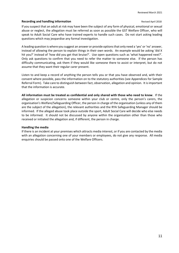### **Recording and handling information Revised April 2018 Revised April 2018**

If you suspect that an adult at risk may have been the subject of any form of physical, emotional or sexual abuse or neglect, the allegation must be referred as soon as possible the GST Welfare Officer, who will speak to Adult Social Care who have trained experts to handle such cases. Do not start asking leading questions which may jeopardise any formal investigation.

A leading question is where you suggest an answer or provide options that only need a 'yes' or 'no' answer, instead of allowing the person to explain things in their own words. An example would be asking 'did X hit you?' instead of 'how did you get that bruise?'. Use open questions such as 'what happened next?'. Only ask questions to confirm that you need to refer the matter to someone else. If the person has difficulty communicating, ask them if they would like someone there to assist or interpret, but do not assume that they want their regular carer present.

Listen to and keep a record of anything the person tells you or that you have observed and, with their consent where possible, pass the information on to the statutory authorities (see Appendices for Sample Referral Form). Take care to distinguish between fact, observation, allegation and opinion. It is important that the information is accurate.

**All information must be treated as confidential and only shared with those who need to know**. If the allegation or suspicion concerns someone within your club or centre, only the person's carers, the organisation's Welfare/Safeguarding Officer, the person in charge of the organisation (unless any of them are the subject of the allegation), the relevant authorities and the RYA Safeguarding Manager should be informed. If the alleged abuse took place outside the sport, Adult Social Care will decide who else needs to be informed. It should not be discussed by anyone within the organisation other than those who received or initiated the allegation and, if different, the person in charge.

### **Handling the media**

If there is an incident at your premises which attracts media interest, or if you are contacted by the media with an allegation concerning one of your members or employees, do not give any response. All media enquiries should be passed onto one of the Welfare Officers.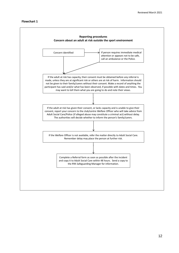### **Flowchart 1**

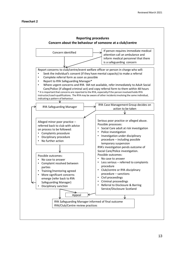### **Flowchart 2**

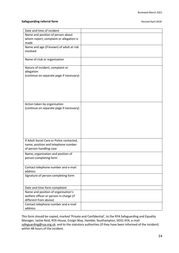# **Safeguarding referral form Safeguarding referral form Revised April 2018**

| Date and time of incident                                                |  |
|--------------------------------------------------------------------------|--|
| Name and position of person about                                        |  |
| whom report, complaint or allegation is                                  |  |
| made                                                                     |  |
| Name and age (if known) of adult at risk                                 |  |
| involved                                                                 |  |
|                                                                          |  |
| Name of club or organisation                                             |  |
| Nature of incident, complaint or                                         |  |
| allegation                                                               |  |
| (continue on separate page if necessary)                                 |  |
|                                                                          |  |
|                                                                          |  |
|                                                                          |  |
|                                                                          |  |
|                                                                          |  |
|                                                                          |  |
| Action taken by organisation<br>(continue on separate page if necessary) |  |
|                                                                          |  |
|                                                                          |  |
|                                                                          |  |
|                                                                          |  |
|                                                                          |  |
|                                                                          |  |
|                                                                          |  |
| If Adult Social Care or Police contacted,                                |  |
| name, position and telephone number                                      |  |
| of person handling case                                                  |  |
| Name, organisation and position of                                       |  |
| person completing form                                                   |  |
|                                                                          |  |
| Contact telephone number and e-mail                                      |  |
| address                                                                  |  |
| Signature of person completing form                                      |  |
|                                                                          |  |
|                                                                          |  |
| Date and time form completed                                             |  |
| Name and position of organisation's                                      |  |
| welfare officer or person in charge (if                                  |  |
| different from above)                                                    |  |
| Contact telephone number and e-mail                                      |  |
| address                                                                  |  |

This form should be copied, marked 'Private and Confidential', to the RYA Safeguarding and Equality Manager, Jackie Reid, RYA House, Ensign Way, Hamble, Southampton, SO31 4YA, e-mail [safeguarding@rya.org.uk](mailto:safeguarding@rya.org.uk) and to the statutory authorities (if they have been informed of the incident) within 48 hours of the incident.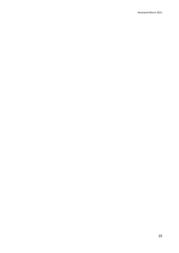Reviewed March 2021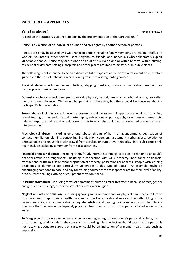# **PART THREE – APPENDICES**

# **What is abuse? Revised April 2018**

(Based on the statutory guidance supporting the implementation of the Care Act 2014)

Abuse is a violation of an individual's human and civil rights by another person or persons.

Adults at risk may be abused by a wide range of people including family members, professional staff, care workers, volunteers, other service users, neighbours, friends, and individuals who deliberately exploit vulnerable people. Abuse may occur when an adult at risk lives alone or with a relative, within nursing, residential or day care settings, hospitals and other places assumed to be safe, or in public places.

The following is not intended to be an exhaustive list of types of abuse or exploitation but an illustrative guide as to the sort of behaviour which could give rise to a safeguarding concern:

**Physical abuse** - including assault, hitting, slapping, pushing, misuse of medication, restraint, or inappropriate physical sanctions.

**Domestic violence** – including psychological, physical, sexual, financial, emotional abuse; so called 'honour' based violence. This won't happen at a club/centre, but there could be concerns about a participant's home situation.

**Sexual abuse** - including rape, indecent exposure, sexual harassment, inappropriate looking or touching, sexual teasing or innuendo, sexual photography, subjections to pornography or witnessing sexual acts, indecent exposure and sexual assault or sexual acts to which the adult has not consented or was pressured into consenting.

**Psychological abuse** - including emotional abuse, threats of harm or abandonment, deprivation of contact, humiliation, blaming, controlling, intimidation, coercion, harassment, verbal abuse, isolation or unreasonable and unjustified withdrawal from services or supportive networks. In a club context this might include excluding a member from social activities.

**Financial or material abuse** - including theft, fraud, internet scamming, coercion in relation to an adult's financial affairs or arrangements, including in connection with wills, property, inheritance or financial transactions, or the misuse or misappropriation of property, possessions or benefits. People with learning disabilities or dementia are particularly vulnerable to this type of abuse. An example might be encouraging someone to book and pay for training courses that are inappropriate for their level of ability, or to purchase sailing clothing or equipment they don't need.

**Discriminatory abuse** - including forms of harassment, slurs or similar treatment; because of race, gender and gender identity, age, disability, sexual orientation or religion.

**Neglect and acts of omission** - including ignoring medical, emotional or physical care needs, failure to provide access to appropriate health, care and support or educational services, the withholding of the necessities of life, such as medication, adequate nutrition and heating; or in a watersports context, failing to ensure that the person is adequately protected from the cold or sun or properly hydrated while on the water.

**Self-neglect** – this covers a wide range of behaviour neglecting to care for one's personal hygiene, health or surroundings and includes behaviour such as hoarding. Self-neglect might indicate that the person is not receiving adequate support or care, or could be an indication of a mental health issue such as depression.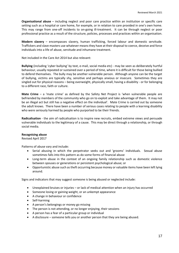**Organisational abuse** – including neglect and poor care practice within an institution or specific care setting such as a hospital or care home, for example, or in relation to care provided in one's own home. This may range from one-off incidents to on-going ill-treatment. It can be through neglect or poor professional practice as a result of the structure, policies, processes and practices within an organisation.

**Modern slavery** – encompasses slavery, human trafficking, forced labour and domestic servitude. Traffickers and slave masters use whatever means they have at their disposal to coerce, deceive and force individuals into a life of abuse, servitude and inhumane treatment.

Not included in the Care Act 2014 but also relevant:

**Bullying** (including 'cyber bullying' by text, e-mail, social media etc) - may be seen as deliberately hurtful behaviour, usually repeated or sustained over a period of time, where it is difficult for those being bullied to defend themselves. The bully may be another vulnerable person. Although anyone can be the target of bullying, victims are typically shy, sensitive and perhaps anxious or insecure. Sometimes they are singled out for physical reasons – being overweight, physically small, having a disability - or for belonging to a different race, faith or culture.

**Mate Crime** – a 'mate crime' as defined by the Safety Net Project is 'when vulnerable people are befriended by members of the community who go on to exploit and take advantage of them. It may not be an illegal act but still has a negative effect on the individual'. Mate Crime is carried out by someone the adult knows. There have been a number of serious cases relating to people with a learning disability who were seriously harmed by people who purported to be their friends.

**Radicalisation** - the aim of radicalisation is to inspire new recruits, embed extreme views and persuade vulnerable individuals to the legitimacy of a cause. This may be direct through a relationship, or through social media.

### **Recognising abuse**

Revised April 2017

Patterns of abuse vary and include:

- Serial abusing in which the perpetrator seeks out and 'grooms' individuals. Sexual abuse sometimes falls into this pattern as do some forms of financial abuse
- Long-term abuse in the context of an ongoing family relationship such as domestic violence between spouses or generations or persistent psychological abuse; or
- Opportunistic abuse such as theft occurring because money or valuable items have been left lying around.

Signs and indicators that may suggest someone is being abused or neglected include:

- Unexplained bruises or injuries or lack of medical attention when an injury has occurred
- Someone losing or gaining weight, or an unkempt appearance
- A change in behaviour or confidence
- Self-harming
- A person's belongings or money go missing
- The person is not attending, or no longer enjoying, their sessions
- A person has a fear of a particular group or individual
- A disclosure someone tells you or another person that they are being abused.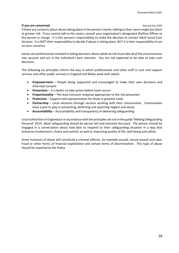### **If you are concerned Revised Feb 2020**

If there are concerns about abuse taking place in the person's home, talking to their carers might put them at greater risk. If you cannot talk to the carers, consult your organisation's designated Welfare Officer or the person in charge. It is this person's responsibility to make the decision to contact Adult Social Care Services. It is NOT their responsibility to decide if abuse is taking place, BUT it is their responsibility to act on your concerns.

Social care professionals involved in taking decisions about adults at risk must take all of the circumstances into account and act in the individual's best interests. You are not expected to be able to take such decisions.

The following six principles inform the way in which professionals and other staff in care and support services and other public services in England and Wales work with adults:

- **Empowerment** People being supported and encouraged to make their own decisions and informed consent
- **Prevention** It is better to take action before harm occurs
- **Proportionality** The least intrusive response appropriate to the risk presented
- **Protection** Support and representation for those in greatest need
- **•** Partnership Local solutions through services working with their communities. Communities have a part to play in preventing, detecting and reporting neglect and abuse
- **Accountability** Accountability and transparency in delivering safeguarding.

Local authorities in England act in accordance with the principles set out in the guide 'Making Safeguarding Personal' 2014. Adult safeguarding should be person led and outcome focussed. The person should be engaged in a conversation about how best to respond to their safeguarding situation in a way that enhances involvement, choice and control, as well as improving quality of life, well-being and safety.

Some instances of abuse will constitute a criminal offence, for example assault, sexual assault and rape, fraud or other forms of financial exploitation and certain forms of discrimination. This type of abuse should be reported to the Police.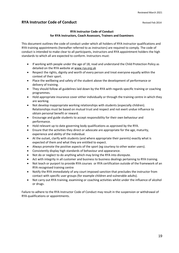# **RYA Instructor Code of Conduct RYA Instructor Code of Conduct**

# **RYA Instructor Code of Conduct for RYA Instructors, Coach Assessors, Trainers and Examiners**

This document outlines the code of conduct under which all holders of RYA instructor qualifications and RYA training appointments (hereafter referred to as instructors) are required to comply. The code of conduct is intended to make clear to all participants, instructors and RYA appointment holders the high standards to which all are expected to conform. Instructors must:

- If working with people under the age of 18, read and understand the Child Protection Policy as detailed on the RYA website a[t www.rya.org.uk](http://www.rya.org.uk/)
- Respect the rights, dignity and worth of every person and treat everyone equally within the context of their sport.
- Place the wellbeing and safety of the student above the development of performance or delivery of training.
- They should follow all guidelines laid down by the RYA with regards specific training or coaching programmes.
- Hold appropriate insurance cover either individually or through the training centre in which they are working.
- Not develop inappropriate working relationships with students (especially children). Relationships must be based on mutual trust and respect and not exert undue influence to obtain personal benefit or reward.
- Encourage and guide students to accept responsibility for their own behaviour and performance.
- Hold relevant up to date governing body qualifications as approved by the RYA.
- Ensure that the activities they direct or advocate are appropriate for the age, maturity, experience and ability of the individual.
- At the outset, clarify with students (and where appropriate their parents) exactly what is expected of them and what they are entitled to expect.
- Always promote the positive aspects of the sport (eg courtesy to other water users).
- Consistently display high standards of behaviour and appearance.
- Not do or neglect to do anything which may bring the RYA into disrepute.
- Act with integrity in all customer and business to business dealings pertaining to RYA training.
- Not teach or purport to provide RYA courses or RYA certification outside of the framework of an RYA recognised training centre
- Notify the RYA immediately of any court imposed sanction that precludes the instructor from contact with specific user groups (for example children and vulnerable adults).
- Not carry out RYA training, examining or coaching activities whilst under the influence of alcohol or drugs.

Failure to adhere to the RYA Instructor Code of Conduct may result in the suspension or withdrawal of RYA qualifications or appointments.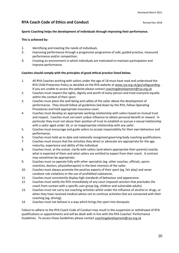# **RYA Coach Code of Ethics and Conduct RYA Coach Coach Code of Ethics and Conduct**

# **Sports Coaching helps the development of individuals through improving their performance.**

# **This is achieved by:**

- 1. Identifying and meeting the needs of individuals.
- 2. Improving performance through a progressive programme of safe, guided practice, measured performance and/or competition.
- 3. Creating an environment in which individuals are motivated to maintain participation and improve performance.

# **Coaches should comply with the principles of good ethical practice listed below.**

- 1. All RYA Coaches working with sailors under the age of 18 must have read and understood the RYA Child Protection Policy as detailed on the RYA website at [www.rya.org.uk/go/safeguarding](http://www.rya.org.uk/go/safeguarding). If you are unable to access the website please contact [coachingdevelopment@rya.org.uk](mailto:coachingdevelopment@rya.org.uk)
- 2. Coaches must respect the rights, dignity and worth of every person and treat everyone equally within the context of their sport.
- 3. Coaches must place the well-being and safety of the sailor above the development of performance. They should follow all guidelines laid down by the RYA, follow Operating Procedures and hold appropriate insurance cover.
- 4. Coaches must develop an appropriate working relationship with sailors based on mutual trust and respect. Coaches must not exert undue influence to obtain personal benefit or reward. In particular they must not abuse their position of trust to establish or pursue a sexual relationship with a sailor aged under 18, or an inappropriate relationship with any sailor.
- 5. Coaches must encourage and guide sailors to accept responsibility for their own behaviour and performance.
- 6. Coaches must hold up to date and nationally recognised governing body coaching qualifications.
- 7. Coaches must ensure that the activities they direct or advocate are appropriate for the age, maturity, experience and ability of the individual.
- 8. Coaches must, at the outset, clarify with sailors (and where appropriate their parents) exactly what is expected of them and what sailors are entitled to expect from their coach. A contract may sometimes be appropriate.
- 9. Coaches must co-operate fully with other specialists (eg. other coaches, officials, sports scientists, doctors, physiotherapists) in the best interests of the sailor.
- 10. Coaches must always promote the positive aspects of their sport (eg. fair play) and never condone rule violations or the use of prohibited substances.
- 11. Coaches must consistently display high standards of behaviour and appearance.
- 12. Coaches must notify the RYA immediately of any court imposed sanction that precludes the coach from contact with a specific user group (eg. children and vulnerable adults).
- 13. Coaches must not carry out coaching activities whilst under the influence of alcohol or drugs, or when they have received medical advice not to continue activities that are connected with their coaching (eg. driving).
- 14. Coaches must not behave in a way which brings the sport into disrepute.

Failure to adhere to the RYA Coach Code of Conduct may result in the suspension or withdrawal of RYA qualifications or appointments and will be dealt with in line with the RYA Coaches' Performance Guidelines. To access these Guidelines please contac[t coachingdevelopment@rya.org.uk](mailto:coachingdevelopment@rya.org.uk)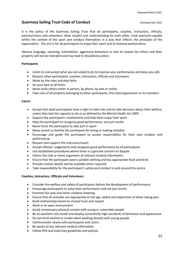# **Guernsey Sailing Trust Code of Conduct Reviewed Mar 2021**

Abusive language, swearing, intimidation, aggressive behaviour or lack of respect for others and their property will not be tolerated and may lead to disciplinary action.

# **Participants**

- Listen to and accept what you are asked to do to improve your performance and keep you safe
- Respect other participants, coaches, instructors, officials and volunteers
- Abide by the rules and play fairly
- Do your best at all times
- Never bully others either in person, by phone, by text or online
- Take care of all property belonging to other participants, the club/organisation or its members

### **Carers**

- Accept that adult participants have a right to take risks and to take decisions about their welfare, unless they lack the capacity to do so as defined by the Mental Health Act 2005
- Support the participant's involvement and help them enjoy their sport
- Help the participant to recognise good performance, not just results
- Never force the participant to take part in sport
- Never punish or belittle the participant for losing or making mistakes
- Encourage and guide the participant to accept responsibility for their own conduct and performance
- Respect and support the instructor/coach
- Accept officials' judgements and recognise good performance by all participants
- Use established procedures where there is a genuine concern or dispute
- Inform the club or event organisers of relevant medical information
- Ensure that the participant wears suitable clothing and has appropriate food and drink
- Provide contact details and be available when required
- Take responsibility for the participant's safety and conduct in and around the centre

### **Coaches, Instructors, Officials and Volunteers**

- Consider the welfare and safety of participants before the development of performance
- Encourage participants to value their performance and not just results
- Promote fair play and never condone cheating
- Ensure that all activities are appropriate to the age, ability and experience of those taking part
- Build relationships based on mutual trust and respect
- Work in an open environment
- Avoid unnecessary physical contact with young or vulnerable people
- Be an excellent role model and display consistently high standards of behaviour and appearance
- Do not drink alcohol or smoke when working directly with young people
- Communicate clearly with participants and carers
- Be aware of any relevant medical information
- Follow RYA and club/class guidelines and policies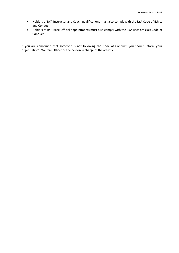- Holders of RYA Instructor and Coach qualifications must also comply with the RYA Code of Ethics and Conduct
- Holders of RYA Race Official appointments must also comply with the RYA Race Officials Code of Conduct.

If you are concerned that someone is not following the Code of Conduct, you should inform your organisation's Welfare Officer or the person in charge of the activity.